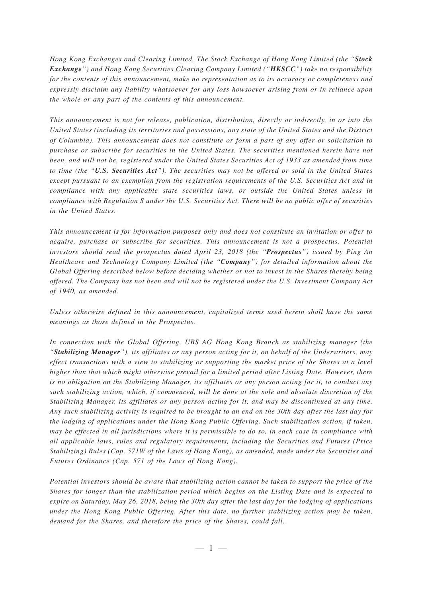*Hong Kong Exchanges and Clearing Limited, The Stock Exchange of Hong Kong Limited (the "Stock Exchange") and Hong Kong Securities Clearing Company Limited ("HKSCC") take no responsibility for the contents of this announcement, make no representation as to its accuracy or completeness and expressly disclaim any liability whatsoever for any loss howsoever arising from or in reliance upon the whole or any part of the contents of this announcement.*

*This announcement is not for release, publication, distribution, directly or indirectly, in or into the United States (including its territories and possessions, any state of the United States and the District of Columbia). This announcement does not constitute or form a part of any offer or solicitation to purchase or subscribe for securities in the United States. The securities mentioned herein have not been, and will not be, registered under the United States Securities Act of 1933 as amended from time to time (the "U.S. Securities Act"). The securities may not be offered or sold in the United States except pursuant to an exemption from the registration requirements of the U.S. Securities Act and in compliance with any applicable state securities laws, or outside the United States unless in compliance with Regulation S under the U.S. Securities Act. There will be no public offer of securities in the United States.*

*This announcement is for information purposes only and does not constitute an invitation or offer to acquire, purchase or subscribe for securities. This announcement is not a prospectus. Potential investors should read the prospectus dated April 23, 2018 (the "Prospectus") issued by Ping An Healthcare and Technology Company Limited (the "Company") for detailed information about the Global Offering described below before deciding whether or not to invest in the Shares thereby being offered. The Company has not been and will not be registered under the U.S. Investment Company Act of 1940, as amended.*

*Unless otherwise defined in this announcement, capitalized terms used herein shall have the same meanings as those defined in the Prospectus.*

*In connection with the Global Offering, UBS AG Hong Kong Branch as stabilizing manager (the "Stabilizing Manager"), its affiliates or any person acting for it, on behalf of the Underwriters, may effect transactions with a view to stabilizing or supporting the market price of the Shares at a level higher than that which might otherwise prevail for a limited period after Listing Date. However, there is no obligation on the Stabilizing Manager, its affiliates or any person acting for it, to conduct any such stabilizing action, which, if commenced, will be done at the sole and absolute discretion of the Stabilizing Manager, its affiliates or any person acting for it, and may be discontinued at any time. Any such stabilizing activity is required to be brought to an end on the 30th day after the last day for the lodging of applications under the Hong Kong Public Offering. Such stabilization action, if taken, may be effected in all jurisdictions where it is permissible to do so, in each case in compliance with all applicable laws, rules and regulatory requirements, including the Securities and Futures (Price Stabilizing) Rules (Cap. 571W of the Laws of Hong Kong), as amended, made under the Securities and Futures Ordinance (Cap. 571 of the Laws of Hong Kong).*

*Potential investors should be aware that stabilizing action cannot be taken to support the price of the Shares for longer than the stabilization period which begins on the Listing Date and is expected to expire on Saturday, May 26, 2018, being the 30th day after the last day for the lodging of applications under the Hong Kong Public Offering. After this date, no further stabilizing action may be taken, demand for the Shares, and therefore the price of the Shares, could fall.*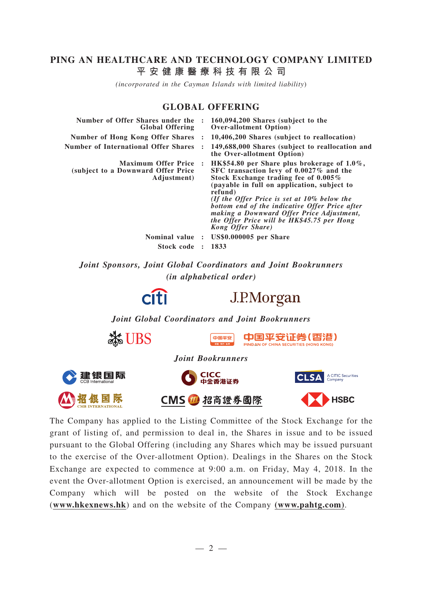# **PING AN HEALTHCARE AND TECHNOLOGY COMPANY LIMITED 平安健康醫療科技有限公司**

*(incorporated in the Cayman Islands with limited liability*)

## **GLOBAL OFFERING**

| Number of Offer Shares under the<br><b>Global Offering</b>                       |                | 160,094,200 Shares (subject to the<br><b>Over-allotment Option</b> )                                                                                                                                                                                                                                                                                                                                             |
|----------------------------------------------------------------------------------|----------------|------------------------------------------------------------------------------------------------------------------------------------------------------------------------------------------------------------------------------------------------------------------------------------------------------------------------------------------------------------------------------------------------------------------|
| <b>Number of Hong Kong Offer Shares</b>                                          |                | 10,406,200 Shares (subject to reallocation)                                                                                                                                                                                                                                                                                                                                                                      |
| <b>Number of International Offer Shares</b>                                      |                | 149,688,000 Shares (subject to reallocation and<br>the Over-allotment Option)                                                                                                                                                                                                                                                                                                                                    |
| <b>Maximum Offer Price</b><br>(subject to a Downward Offer Price)<br>Adjustment) | $\cdot$        | HK\$54.80 per Share plus brokerage of $1.0\%$ ,<br>SFC transaction levy of 0.0027% and the<br>Stock Exchange trading fee of 0.005%<br>(payable in full on application, subject to<br>refund)<br>(If the Offer Price is set at $10\%$ below the<br>bottom end of the indicative Offer Price after<br>making a Downward Offer Price Adjustment,<br>the Offer Price will be HK\$45.75 per Hong<br>Kong Offer Share) |
| <b>Nominal value</b>                                                             | $\ddot{\cdot}$ | <b>US\$0.000005</b> per Share                                                                                                                                                                                                                                                                                                                                                                                    |
| Stock code                                                                       |                | 1833                                                                                                                                                                                                                                                                                                                                                                                                             |

*Joint Sponsors, Joint Global Coordinators and Joint Bookrunners (in alphabetical order)*





*Joint Global Coordinators and Joint Bookrunners*



The Company has applied to the Listing Committee of the Stock Exchange for the grant of listing of, and permission to deal in, the Shares in issue and to be issued pursuant to the Global Offering (including any Shares which may be issued pursuant to the exercise of the Over-allotment Option). Dealings in the Shares on the Stock Exchange are expected to commence at 9:00 a.m. on Friday, May 4, 2018. In the event the Over-allotment Option is exercised, an announcement will be made by the Company which will be posted on the website of the Stock Exchange (**www.hkexnews.hk**) and on the website of the Company **(www.pahtg.com)**.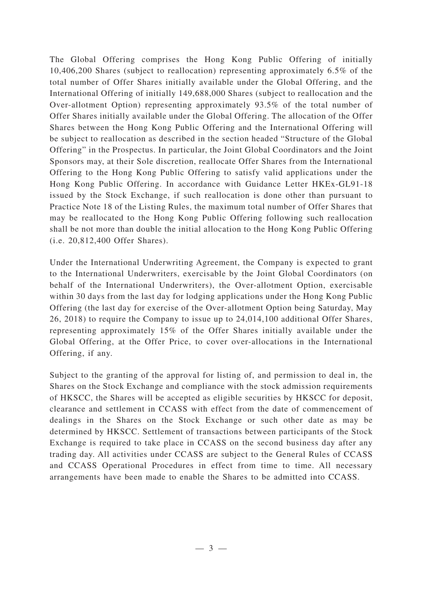The Global Offering comprises the Hong Kong Public Offering of initially 10,406,200 Shares (subject to reallocation) representing approximately 6.5% of the total number of Offer Shares initially available under the Global Offering, and the International Offering of initially 149,688,000 Shares (subject to reallocation and the Over-allotment Option) representing approximately 93.5% of the total number of Offer Shares initially available under the Global Offering. The allocation of the Offer Shares between the Hong Kong Public Offering and the International Offering will be subject to reallocation as described in the section headed "Structure of the Global Offering" in the Prospectus. In particular, the Joint Global Coordinators and the Joint Sponsors may, at their Sole discretion, reallocate Offer Shares from the International Offering to the Hong Kong Public Offering to satisfy valid applications under the Hong Kong Public Offering. In accordance with Guidance Letter HKEx-GL91-18 issued by the Stock Exchange, if such reallocation is done other than pursuant to Practice Note 18 of the Listing Rules, the maximum total number of Offer Shares that may be reallocated to the Hong Kong Public Offering following such reallocation shall be not more than double the initial allocation to the Hong Kong Public Offering (i.e. 20,812,400 Offer Shares).

Under the International Underwriting Agreement, the Company is expected to grant to the International Underwriters, exercisable by the Joint Global Coordinators (on behalf of the International Underwriters), the Over-allotment Option, exercisable within 30 days from the last day for lodging applications under the Hong Kong Public Offering (the last day for exercise of the Over-allotment Option being Saturday, May 26, 2018) to require the Company to issue up to 24,014,100 additional Offer Shares, representing approximately 15% of the Offer Shares initially available under the Global Offering, at the Offer Price, to cover over-allocations in the International Offering, if any.

Subject to the granting of the approval for listing of, and permission to deal in, the Shares on the Stock Exchange and compliance with the stock admission requirements of HKSCC, the Shares will be accepted as eligible securities by HKSCC for deposit, clearance and settlement in CCASS with effect from the date of commencement of dealings in the Shares on the Stock Exchange or such other date as may be determined by HKSCC. Settlement of transactions between participants of the Stock Exchange is required to take place in CCASS on the second business day after any trading day. All activities under CCASS are subject to the General Rules of CCASS and CCASS Operational Procedures in effect from time to time. All necessary arrangements have been made to enable the Shares to be admitted into CCASS.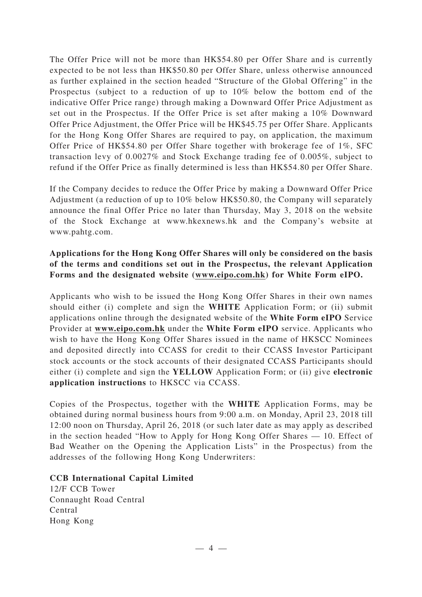The Offer Price will not be more than HK\$54.80 per Offer Share and is currently expected to be not less than HK\$50.80 per Offer Share, unless otherwise announced as further explained in the section headed "Structure of the Global Offering" in the Prospectus (subject to a reduction of up to 10% below the bottom end of the indicative Offer Price range) through making a Downward Offer Price Adjustment as set out in the Prospectus. If the Offer Price is set after making a 10% Downward Offer Price Adjustment, the Offer Price will be HK\$45.75 per Offer Share. Applicants for the Hong Kong Offer Shares are required to pay, on application, the maximum Offer Price of HK\$54.80 per Offer Share together with brokerage fee of 1%, SFC transaction levy of 0.0027% and Stock Exchange trading fee of 0.005%, subject to refund if the Offer Price as finally determined is less than HK\$54.80 per Offer Share.

If the Company decides to reduce the Offer Price by making a Downward Offer Price Adjustment (a reduction of up to 10% below HK\$50.80, the Company will separately announce the final Offer Price no later than Thursday, May 3, 2018 on the website of the Stock Exchange at www.hkexnews.hk and the Company's website at www.pahtg.com.

## **Applications for the Hong Kong Offer Shares will only be considered on the basis of the terms and conditions set out in the Prospectus, the relevant Application Forms and the designated website (www.eipo.com.hk) for White Form eIPO.**

Applicants who wish to be issued the Hong Kong Offer Shares in their own names should either (i) complete and sign the **WHITE** Application Form; or (ii) submit applications online through the designated website of the **White Form eIPO** Service Provider at **www.eipo.com.hk** under the **White Form eIPO** service. Applicants who wish to have the Hong Kong Offer Shares issued in the name of HKSCC Nominees and deposited directly into CCASS for credit to their CCASS Investor Participant stock accounts or the stock accounts of their designated CCASS Participants should either (i) complete and sign the **YELLOW** Application Form; or (ii) give **electronic application instructions** to HKSCC via CCASS.

Copies of the Prospectus, together with the **WHITE** Application Forms, may be obtained during normal business hours from 9:00 a.m. on Monday, April 23, 2018 till 12:00 noon on Thursday, April 26, 2018 (or such later date as may apply as described in the section headed "How to Apply for Hong Kong Offer Shares — 10. Effect of Bad Weather on the Opening the Application Lists" in the Prospectus) from the addresses of the following Hong Kong Underwriters:

### **CCB International Capital Limited**

12/F CCB Tower Connaught Road Central Central Hong Kong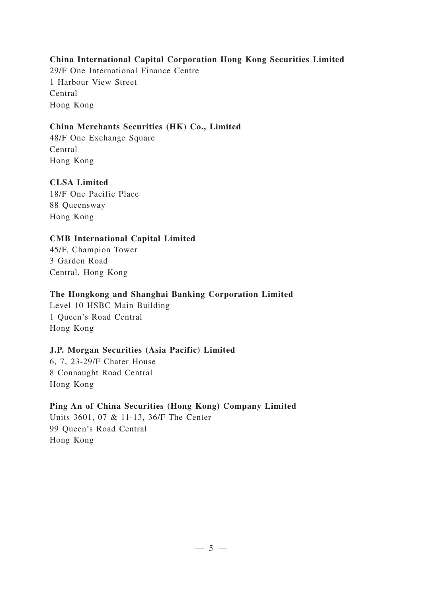### **China International Capital Corporation Hong Kong Securities Limited**

29/F One International Finance Centre 1 Harbour View Street Central Hong Kong

## **China Merchants Securities (HK) Co., Limited**

48/F One Exchange Square Central Hong Kong

# **CLSA Limited**

18/F One Pacific Place 88 Queensway Hong Kong

### **CMB International Capital Limited**

45/F, Champion Tower 3 Garden Road Central, Hong Kong

### **The Hongkong and Shanghai Banking Corporation Limited**

Level 10 HSBC Main Building 1 Queen's Road Central Hong Kong

### **J.P. Morgan Securities (Asia Pacific) Limited**

6, 7, 23-29/F Chater House 8 Connaught Road Central Hong Kong

### **Ping An of China Securities (Hong Kong) Company Limited**

Units 3601, 07 & 11-13, 36/F The Center 99 Queen's Road Central Hong Kong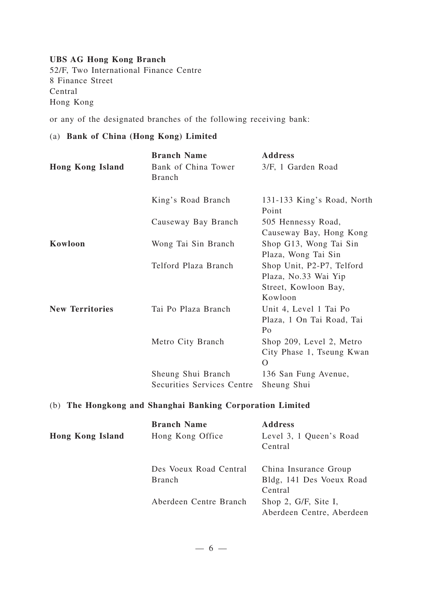#### **UBS AG Hong Kong Branch**

52/F, Two International Finance Centre 8 Finance Street Central Hong Kong

or any of the designated branches of the following receiving bank:

# (a) **Bank of China (Hong Kong) Limited**

|                         | <b>Branch Name</b>                               | <b>Address</b>                                                                       |
|-------------------------|--------------------------------------------------|--------------------------------------------------------------------------------------|
| <b>Hong Kong Island</b> | Bank of China Tower<br><b>Branch</b>             | 3/F, 1 Garden Road                                                                   |
|                         | King's Road Branch                               | 131-133 King's Road, North<br>Point                                                  |
|                         | Causeway Bay Branch                              | 505 Hennessy Road,<br>Causeway Bay, Hong Kong                                        |
| Kowloon                 | Wong Tai Sin Branch                              | Shop G13, Wong Tai Sin<br>Plaza, Wong Tai Sin                                        |
|                         | Telford Plaza Branch                             | Shop Unit, P2-P7, Telford<br>Plaza, No.33 Wai Yip<br>Street, Kowloon Bay,<br>Kowloon |
| <b>New Territories</b>  | Tai Po Plaza Branch                              | Unit 4, Level 1 Tai Po<br>Plaza, 1 On Tai Road, Tai<br>Po                            |
|                         | Metro City Branch                                | Shop 209, Level 2, Metro<br>City Phase 1, Tseung Kwan<br>$\Omega$                    |
|                         | Sheung Shui Branch<br>Securities Services Centre | 136 San Fung Avenue,<br>Sheung Shui                                                  |

## (b) **The Hongkong and Shanghai Banking Corporation Limited**

| <b>Hong Kong Island</b> | <b>Branch Name</b><br>Hong Kong Office  | <b>Address</b><br>Level 3, 1 Queen's Road<br>Central         |
|-------------------------|-----------------------------------------|--------------------------------------------------------------|
|                         | Des Voeux Road Central<br><b>Branch</b> | China Insurance Group<br>Bldg, 141 Des Voeux Road<br>Central |
|                         | Aberdeen Centre Branch                  | Shop 2, G/F, Site I,<br>Aberdeen Centre, Aberdeen            |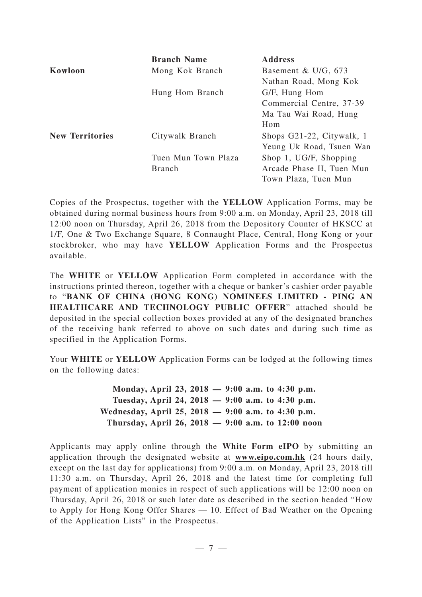|                        | <b>Branch Name</b>  | <b>Address</b>            |
|------------------------|---------------------|---------------------------|
| Kowloon                | Mong Kok Branch     | Basement & U/G, $673$     |
|                        |                     | Nathan Road, Mong Kok     |
|                        | Hung Hom Branch     | G/F, Hung Hom             |
|                        |                     | Commercial Centre, 37-39  |
|                        |                     | Ma Tau Wai Road, Hung     |
|                        |                     | Hom                       |
| <b>New Territories</b> | Citywalk Branch     | Shops G21-22, Citywalk, 1 |
|                        |                     | Yeung Uk Road, Tsuen Wan  |
|                        | Tuen Mun Town Plaza | Shop 1, UG/F, Shopping    |
|                        | <b>Branch</b>       | Arcade Phase II, Tuen Mun |
|                        |                     | Town Plaza, Tuen Mun      |

Copies of the Prospectus, together with the **YELLOW** Application Forms, may be obtained during normal business hours from 9:00 a.m. on Monday, April 23, 2018 till 12:00 noon on Thursday, April 26, 2018 from the Depository Counter of HKSCC at 1/F, One & Two Exchange Square, 8 Connaught Place, Central, Hong Kong or your stockbroker, who may have **YELLOW** Application Forms and the Prospectus available.

The **WHITE** or **YELLOW** Application Form completed in accordance with the instructions printed thereon, together with a cheque or banker 's cashier order payable to "**BANK OF CHINA (HONG KONG) NOMINEES LIMITED - PING AN HEALTHCARE AND TECHNOLOGY PUBLIC OFFER**" attached should be deposited in the special collection boxes provided at any of the designated branches of the receiving bank referred to above on such dates and during such time as specified in the Application Forms.

Your **WHITE** or **YELLOW** Application Forms can be lodged at the following times on the following dates:

> **Monday, April 23, 2018 — 9:00 a.m. to 4:30 p.m. Tuesday, April 24, 2018 — 9:00 a.m. to 4:30 p.m. Wednesday, April 25, 2018 — 9:00 a.m. to 4:30 p.m. Thursday, April 26, 2018 — 9:00 a.m. to 12:00 noon**

Applicants may apply online through the **White Form eIPO** by submitting an application through the designated website at **www.eipo.com.hk** (24 hours daily, except on the last day for applications) from 9:00 a.m. on Monday, April 23, 2018 till 11:30 a.m. on Thursday, April 26, 2018 and the latest time for completing full payment of application monies in respect of such applications will be 12:00 noon on Thursday, April 26, 2018 or such later date as described in the section headed "How to Apply for Hong Kong Offer Shares — 10. Effect of Bad Weather on the Opening of the Application Lists" in the Prospectus.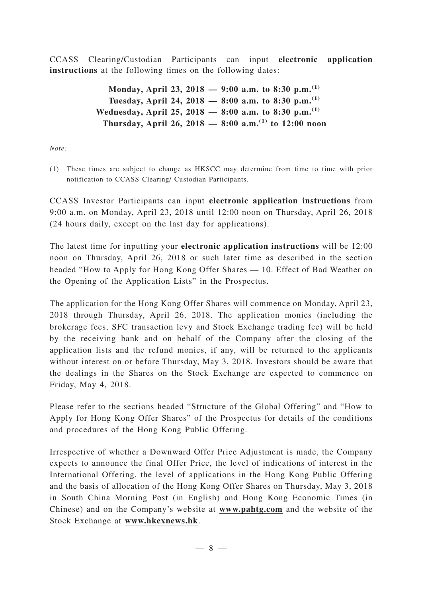CCASS Clearing/Custodian Participants can input **electronic application instructions** at the following times on the following dates:

> **Monday, April 23, 2018 — 9:00 a.m. to 8:30 p.m.(1) Tuesday, April 24, 2018 — 8:00 a.m. to 8:30 p.m.(1) Wednesday, April 25, 2018 — 8:00 a.m. to 8:30 p.m.(1) Thursday, April 26, 2018 — 8:00 a.m.(1) to 12:00 noon**

*Note:*

(1) These times are subject to change as HKSCC may determine from time to time with prior notification to CCASS Clearing/ Custodian Participants.

CCASS Investor Participants can input **electronic application instructions** from 9:00 a.m. on Monday, April 23, 2018 until 12:00 noon on Thursday, April 26, 2018 (24 hours daily, except on the last day for applications).

The latest time for inputting your **electronic application instructions** will be 12:00 noon on Thursday, April 26, 2018 or such later time as described in the section headed "How to Apply for Hong Kong Offer Shares — 10. Effect of Bad Weather on the Opening of the Application Lists" in the Prospectus.

The application for the Hong Kong Offer Shares will commence on Monday, April 23, 2018 through Thursday, April 26, 2018. The application monies (including the brokerage fees, SFC transaction levy and Stock Exchange trading fee) will be held by the receiving bank and on behalf of the Company after the closing of the application lists and the refund monies, if any, will be returned to the applicants without interest on or before Thursday, May 3, 2018. Investors should be aware that the dealings in the Shares on the Stock Exchange are expected to commence on Friday, May 4, 2018.

Please refer to the sections headed "Structure of the Global Offering" and "How to Apply for Hong Kong Offer Shares" of the Prospectus for details of the conditions and procedures of the Hong Kong Public Offering.

Irrespective of whether a Downward Offer Price Adjustment is made, the Company expects to announce the final Offer Price, the level of indications of interest in the International Offering, the level of applications in the Hong Kong Public Offering and the basis of allocation of the Hong Kong Offer Shares on Thursday, May 3, 2018 in South China Morning Post (in English) and Hong Kong Economic Times (in Chinese) and on the Company's website at **www.pahtg.com** and the website of the Stock Exchange at **www.hkexnews.hk**.